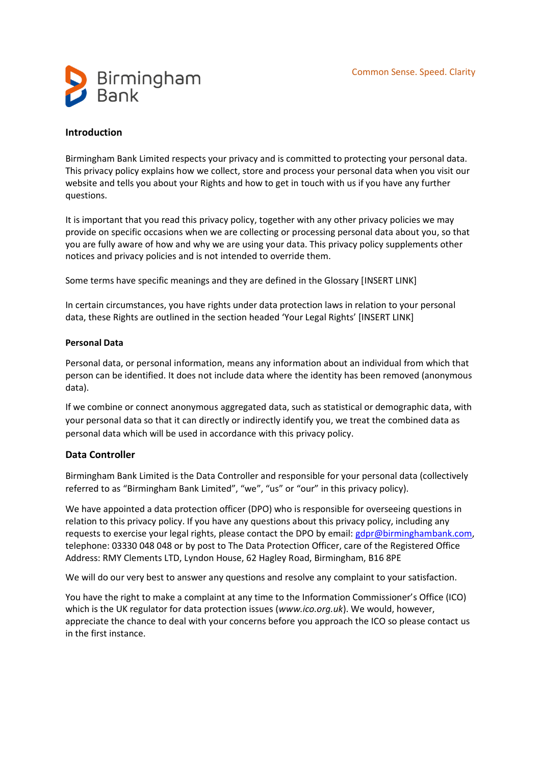

### **Introduction**

Birmingham Bank Limited respects your privacy and is committed to protecting your personal data. This privacy policy explains how we collect, store and process your personal data when you visit our website and tells you about your Rights and how to get in touch with us if you have any further questions.

It is important that you read this privacy policy, together with any other privacy policies we may provide on specific occasions when we are collecting or processing personal data about you, so that you are fully aware of how and why we are using your data. This privacy policy supplements other notices and privacy policies and is not intended to override them.

Some terms have specific meanings and they are defined in the Glossary [INSERT LINK]

In certain circumstances, you have rights under data protection laws in relation to your personal data, these Rights are outlined in the section headed 'Your Legal Rights' [INSERT LINK]

#### **Personal Data**

Personal data, or personal information, means any information about an individual from which that person can be identified. It does not include data where the identity has been removed (anonymous data).

If we combine or connect anonymous aggregated data, such as statistical or demographic data, with your personal data so that it can directly or indirectly identify you, we treat the combined data as personal data which will be used in accordance with this privacy policy.

### **Data Controller**

Birmingham Bank Limited is the Data Controller and responsible for your personal data (collectively referred to as "Birmingham Bank Limited", "we", "us" or "our" in this privacy policy).

We have appointed a data protection officer (DPO) who is responsible for overseeing questions in relation to this privacy policy. If you have any questions about this privacy policy, including any requests to exercise your legal rights, please contact the DPO by email: [gdpr@birminghambank.com,](mailto:gdpr@birminghambank.com) telephone: 03330 048 048 or by post to The Data Protection Officer, care of the Registered Office Address: RMY Clements LTD, Lyndon House, 62 Hagley Road, Birmingham, B16 8PE

We will do our very best to answer any questions and resolve any complaint to your satisfaction.

You have the right to make a complaint at any time to the Information Commissioner's Office (ICO) which is the UK regulator for data protection issues (*www.ico.org.uk*). We would, however, appreciate the chance to deal with your concerns before you approach the ICO so please contact us in the first instance.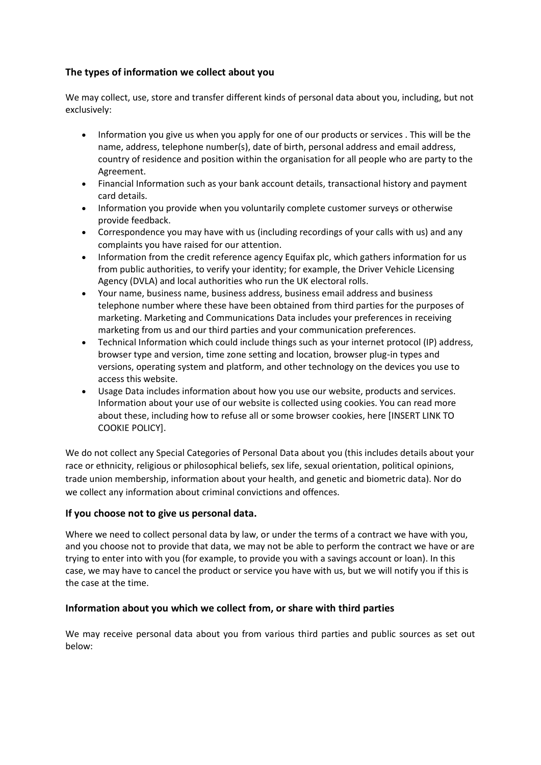# **The types of information we collect about you**

We may collect, use, store and transfer different kinds of personal data about you, including, but not exclusively:

- Information you give us when you apply for one of our products or services . This will be the name, address, telephone number(s), date of birth, personal address and email address, country of residence and position within the organisation for all people who are party to the Agreement.
- Financial Information such as your bank account details, transactional history and payment card details.
- Information you provide when you voluntarily complete customer surveys or otherwise provide feedback.
- Correspondence you may have with us (including recordings of your calls with us) and any complaints you have raised for our attention.
- Information from the credit reference agency Equifax plc, which gathers information for us from public authorities, to verify your identity; for example, the Driver Vehicle Licensing Agency (DVLA) and local authorities who run the UK electoral rolls.
- Your name, business name, business address, business email address and business telephone number where these have been obtained from third parties for the purposes of marketing. Marketing and Communications Data includes your preferences in receiving marketing from us and our third parties and your communication preferences.
- Technical Information which could include things such as your internet protocol (IP) address, browser type and version, time zone setting and location, browser plug-in types and versions, operating system and platform, and other technology on the devices you use to access this website.
- Usage Data includes information about how you use our website, products and services. Information about your use of our website is collected using cookies. You can read more about these, including how to refuse all or some browser cookies, here [INSERT LINK TO COOKIE POLICY].

We do not collect any Special Categories of Personal Data about you (this includes details about your race or ethnicity, religious or philosophical beliefs, sex life, sexual orientation, political opinions, trade union membership, information about your health, and genetic and biometric data). Nor do we collect any information about criminal convictions and offences.

## **If you choose not to give us personal data.**

Where we need to collect personal data by law, or under the terms of a contract we have with you, and you choose not to provide that data, we may not be able to perform the contract we have or are trying to enter into with you (for example, to provide you with a savings account or loan). In this case, we may have to cancel the product or service you have with us, but we will notify you if this is the case at the time.

## **Information about you which we collect from, or share with third parties**

We may receive personal data about you from various third parties and public sources as set out below: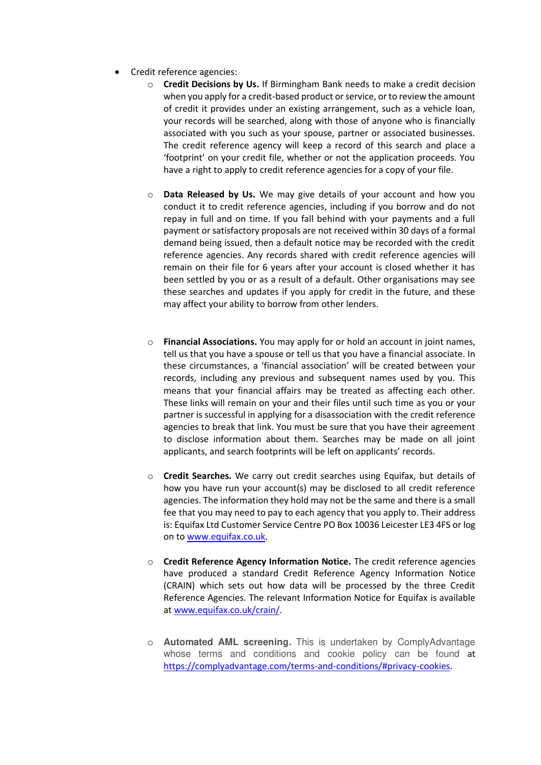- Credit reference agencies:
	- o **Credit Decisions by Us.** If Birmingham Bank needs to make a credit decision when you apply for a credit-based product or service, or to review the amount of credit it provides under an existing arrangement, such as a vehicle loan, your records will be searched, along with those of anyone who is financially associated with you such as your spouse, partner or associated businesses. The credit reference agency will keep a record of this search and place a 'footprint' on your credit file, whether or not the application proceeds. You have a right to apply to credit reference agencies for a copy of your file.
	- o **Data Released by Us.** We may give details of your account and how you conduct it to credit reference agencies, including if you borrow and do not repay in full and on time. If you fall behind with your payments and a full payment or satisfactory proposals are not received within 30 days of a formal demand being issued, then a default notice may be recorded with the credit reference agencies. Any records shared with credit reference agencies will remain on their file for 6 years after your account is closed whether it has been settled by you or as a result of a default. Other organisations may see these searches and updates if you apply for credit in the future, and these may affect your ability to borrow from other lenders.
	- o **Financial Associations.** You may apply for or hold an account in joint names, tell us that you have a spouse or tell us that you have a financial associate. In these circumstances, a 'financial association' will be created between your records, including any previous and subsequent names used by you. This means that your financial affairs may be treated as affecting each other. These links will remain on your and their files until such time as you or your partner is successful in applying for a disassociation with the credit reference agencies to break that link. You must be sure that you have their agreement to disclose information about them. Searches may be made on all joint applicants, and search footprints will be left on applicants' records.
	- o **Credit Searches.** We carry out credit searches using Equifax, but details of how you have run your account(s) may be disclosed to all credit reference agencies. The information they hold may not be the same and there is a small fee that you may need to pay to each agency that you apply to. Their address is: Equifax Ltd Customer Service Centre PO Box 10036 Leicester LE3 4FS or log on to [www.equifax.co.uk.](http://www.equifax.co.uk/)
	- o **Credit Reference Agency Information Notice.** The credit reference agencies have produced a standard Credit Reference Agency Information Notice (CRAIN) which sets out how data will be processed by the three Credit Reference Agencies. The relevant Information Notice for Equifax is available a[t www.equifax.co.uk/crain/.](http://www.equifax.co.uk/crain/)
	- o **Automated AML screening.** This is undertaken by ComplyAdvantage whose terms and conditions and cookie policy can be found at [https://complyadvantage.com/terms-and-conditions/#privacy-cookies.](https://complyadvantage.com/terms-and-conditions/#privacy-cookies)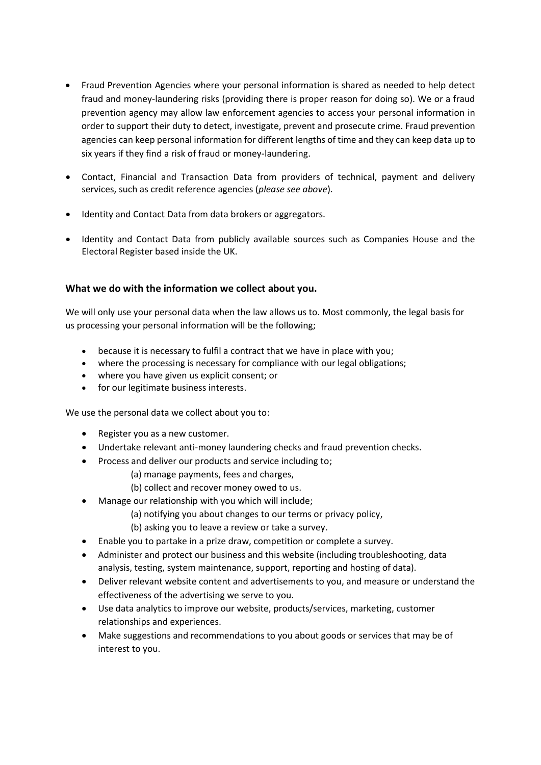- Fraud Prevention Agencies where your personal information is shared as needed to help detect fraud and money-laundering risks (providing there is proper reason for doing so). We or a fraud prevention agency may allow law enforcement agencies to access your personal information in order to support their duty to detect, investigate, prevent and prosecute crime. Fraud prevention agencies can keep personal information for different lengths of time and they can keep data up to six years if they find a risk of fraud or money-laundering.
- Contact, Financial and Transaction Data from providers of technical, payment and delivery services, such as credit reference agencies (*please see above*).
- Identity and Contact Data from data brokers or aggregators.
- Identity and Contact Data from publicly available sources such as Companies House and the Electoral Register based inside the UK.

# **What we do with the information we collect about you.**

We will only use your personal data when the law allows us to. Most commonly, the legal basis for us processing your personal information will be the following;

- because it is necessary to fulfil a contract that we have in place with you;
- where the processing is necessary for compliance with our legal obligations;
- where you have given us explicit consent; or
- for our legitimate business interests.

We use the personal data we collect about you to:

- Register you as a new customer.
- Undertake relevant anti-money laundering checks and fraud prevention checks.
- Process and deliver our products and service including to;
	- (a) manage payments, fees and charges,
	- (b) collect and recover money owed to us.
- Manage our relationship with you which will include;
	- (a) notifying you about changes to our terms or privacy policy,
	- (b) asking you to leave a review or take a survey.
- Enable you to partake in a prize draw, competition or complete a survey.
- Administer and protect our business and this website (including troubleshooting, data analysis, testing, system maintenance, support, reporting and hosting of data).
- Deliver relevant website content and advertisements to you, and measure or understand the effectiveness of the advertising we serve to you.
- Use data analytics to improve our website, products/services, marketing, customer relationships and experiences.
- Make suggestions and recommendations to you about goods or services that may be of interest to you.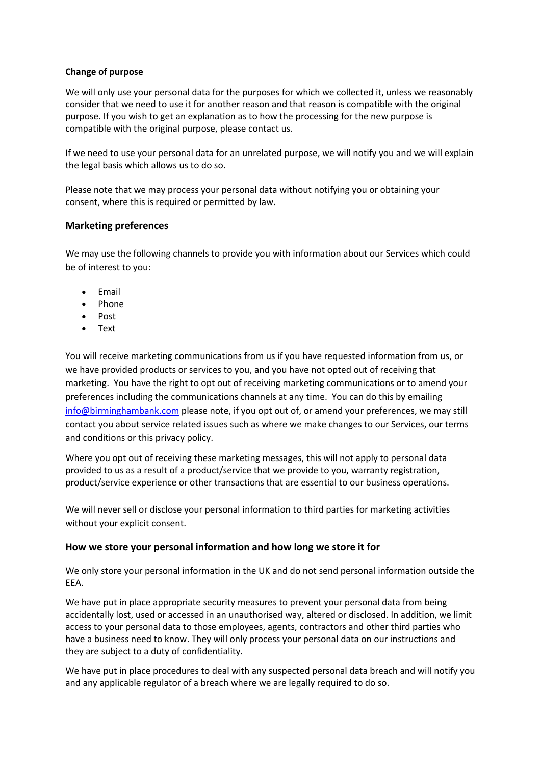### **Change of purpose**

We will only use your personal data for the purposes for which we collected it, unless we reasonably consider that we need to use it for another reason and that reason is compatible with the original purpose. If you wish to get an explanation as to how the processing for the new purpose is compatible with the original purpose, please contact us.

If we need to use your personal data for an unrelated purpose, we will notify you and we will explain the legal basis which allows us to do so.

Please note that we may process your personal data without notifying you or obtaining your consent, where this is required or permitted by law.

## **Marketing preferences**

We may use the following channels to provide you with information about our Services which could be of interest to you:

- Email
- Phone
- Post
- Text

You will receive marketing communications from us if you have requested information from us, or we have provided products or services to you, and you have not opted out of receiving that marketing. You have the right to opt out of receiving marketing communications or to amend your preferences including the communications channels at any time. You can do this by emailing [info@birminghambank.com p](mailto:info@birminghambank.com)lease note, if you opt out of, or amend your preferences, we may still contact you about service related issues such as where we make changes to our Services, our terms and conditions or this privacy policy.

Where you opt out of receiving these marketing messages, this will not apply to personal data provided to us as a result of a product/service that we provide to you, warranty registration, product/service experience or other transactions that are essential to our business operations.

We will never sell or disclose your personal information to third parties for marketing activities without your explicit consent.

## **How we store your personal information and how long we store it for**

We only store your personal information in the UK and do not send personal information outside the EEA.

We have put in place appropriate security measures to prevent your personal data from being accidentally lost, used or accessed in an unauthorised way, altered or disclosed. In addition, we limit access to your personal data to those employees, agents, contractors and other third parties who have a business need to know. They will only process your personal data on our instructions and they are subject to a duty of confidentiality.

We have put in place procedures to deal with any suspected personal data breach and will notify you and any applicable regulator of a breach where we are legally required to do so.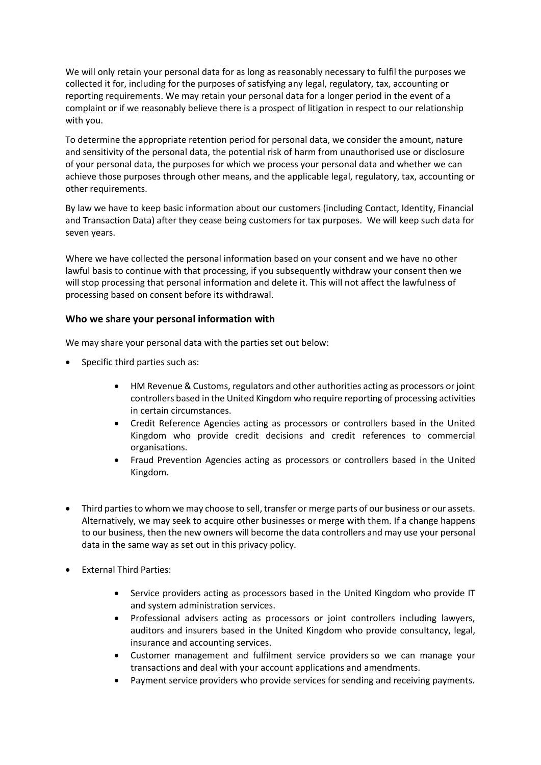We will only retain your personal data for as long as reasonably necessary to fulfil the purposes we collected it for, including for the purposes of satisfying any legal, regulatory, tax, accounting or reporting requirements. We may retain your personal data for a longer period in the event of a complaint or if we reasonably believe there is a prospect of litigation in respect to our relationship with you.

To determine the appropriate retention period for personal data, we consider the amount, nature and sensitivity of the personal data, the potential risk of harm from unauthorised use or disclosure of your personal data, the purposes for which we process your personal data and whether we can achieve those purposes through other means, and the applicable legal, regulatory, tax, accounting or other requirements.

By law we have to keep basic information about our customers (including Contact, Identity, Financial and Transaction Data) after they cease being customers for tax purposes. We will keep such data for seven years.

Where we have collected the personal information based on your consent and we have no other lawful basis to continue with that processing, if you subsequently withdraw your consent then we will stop processing that personal information and delete it. This will not affect the lawfulness of processing based on consent before its withdrawal.

## **Who we share your personal information with**

We may share your personal data with the parties set out below:

- Specific third parties such as:
	- HM Revenue & Customs, regulators and other authorities acting as processors or joint controllers based in the United Kingdom who require reporting of processing activities in certain circumstances.
	- Credit Reference Agencies acting as processors or controllers based in the United Kingdom who provide credit decisions and credit references to commercial organisations.
	- Fraud Prevention Agencies acting as processors or controllers based in the United Kingdom.
- Third parties to whom we may choose to sell, transfer or merge parts of our business or our assets. Alternatively, we may seek to acquire other businesses or merge with them. If a change happens to our business, then the new owners will become the data controllers and may use your personal data in the same way as set out in this privacy policy.
- **External Third Parties:** 
	- Service providers acting as processors based in the United Kingdom who provide IT and system administration services.
	- Professional advisers acting as processors or joint controllers including lawyers, auditors and insurers based in the United Kingdom who provide consultancy, legal, insurance and accounting services.
	- Customer management and fulfilment service providers so we can manage your transactions and deal with your account applications and amendments.
	- Payment service providers who provide services for sending and receiving payments.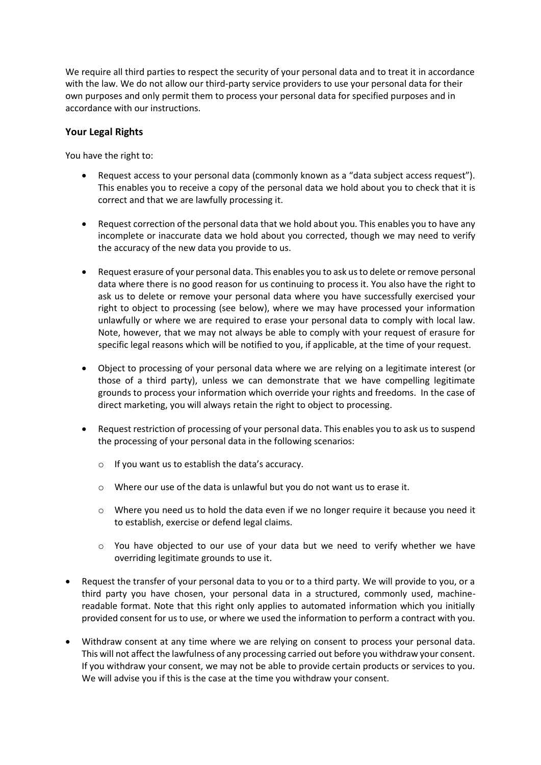We require all third parties to respect the security of your personal data and to treat it in accordance with the law. We do not allow our third-party service providers to use your personal data for their own purposes and only permit them to process your personal data for specified purposes and in accordance with our instructions.

## **Your Legal Rights**

You have the right to:

- Request access to your personal data (commonly known as a "data subject access request"). This enables you to receive a copy of the personal data we hold about you to check that it is correct and that we are lawfully processing it.
- Request correction of the personal data that we hold about you. This enables you to have any incomplete or inaccurate data we hold about you corrected, though we may need to verify the accuracy of the new data you provide to us.
- Request erasure of your personal data. This enables you to ask us to delete or remove personal data where there is no good reason for us continuing to process it. You also have the right to ask us to delete or remove your personal data where you have successfully exercised your right to object to processing (see below), where we may have processed your information unlawfully or where we are required to erase your personal data to comply with local law. Note, however, that we may not always be able to comply with your request of erasure for specific legal reasons which will be notified to you, if applicable, at the time of your request.
- Object to processing of your personal data where we are relying on a legitimate interest (or those of a third party), unless we can demonstrate that we have compelling legitimate grounds to process your information which override your rights and freedoms. In the case of direct marketing, you will always retain the right to object to processing.
- Request restriction of processing of your personal data. This enables you to ask us to suspend the processing of your personal data in the following scenarios:
	- o If you want us to establish the data's accuracy.
	- o Where our use of the data is unlawful but you do not want us to erase it.
	- o Where you need us to hold the data even if we no longer require it because you need it to establish, exercise or defend legal claims.
	- $\circ$  You have objected to our use of your data but we need to verify whether we have overriding legitimate grounds to use it.
- Request the transfer of your personal data to you or to a third party. We will provide to you, or a third party you have chosen, your personal data in a structured, commonly used, machinereadable format. Note that this right only applies to automated information which you initially provided consent for us to use, or where we used the information to perform a contract with you.
- Withdraw consent at any time where we are relying on consent to process your personal data. This will not affect the lawfulness of any processing carried out before you withdraw your consent. If you withdraw your consent, we may not be able to provide certain products or services to you. We will advise you if this is the case at the time you withdraw your consent.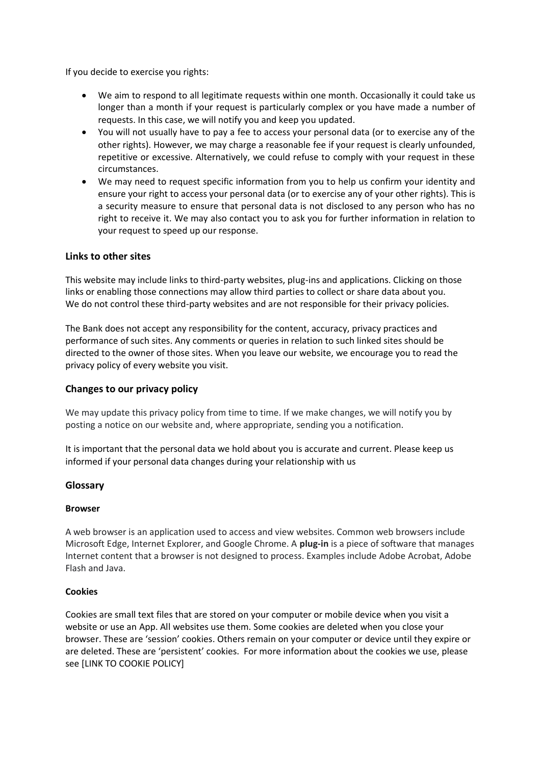If you decide to exercise you rights:

- We aim to respond to all legitimate requests within one month. Occasionally it could take us longer than a month if your request is particularly complex or you have made a number of requests. In this case, we will notify you and keep you updated.
- You will not usually have to pay a fee to access your personal data (or to exercise any of the other rights). However, we may charge a reasonable fee if your request is clearly unfounded, repetitive or excessive. Alternatively, we could refuse to comply with your request in these circumstances.
- We may need to request specific information from you to help us confirm your identity and ensure your right to access your personal data (or to exercise any of your other rights). This is a security measure to ensure that personal data is not disclosed to any person who has no right to receive it. We may also contact you to ask you for further information in relation to your request to speed up our response.

## **Links to other sites**

This website may include links to third-party websites, plug-ins and applications. Clicking on those links or enabling those connections may allow third parties to collect or share data about you. We do not control these third-party websites and are not responsible for their privacy policies.

The Bank does not accept any responsibility for the content, accuracy, privacy practices and performance of such sites. Any comments or queries in relation to such linked sites should be directed to the owner of those sites. When you leave our website, we encourage you to read the privacy policy of every website you visit.

### **Changes to our privacy policy**

We may update this privacy policy from time to time. If we make changes, we will notify you by posting a notice on our website and, where appropriate, sending you a notification.

It is important that the personal data we hold about you is accurate and current. Please keep us informed if your personal data changes during your relationship with us

### **Glossary**

### **Browser**

A web browser is an application used to access and view websites. Common web browsers include Microsoft Edge, Internet Explorer, and Google Chrome. A **plug-in** is a piece of software that manages Internet content that a browser is not designed to process. Examples include Adobe Acrobat, Adobe Flash and Java.

### **Cookies**

Cookies are small text files that are stored on your computer or mobile device when you visit a website or use an App. All websites use them. Some cookies are deleted when you close your browser. These are 'session' cookies. Others remain on your computer or device until they expire or are deleted. These are 'persistent' cookies. For more information about the cookies we use, please see [LINK TO COOKIE POLICY]